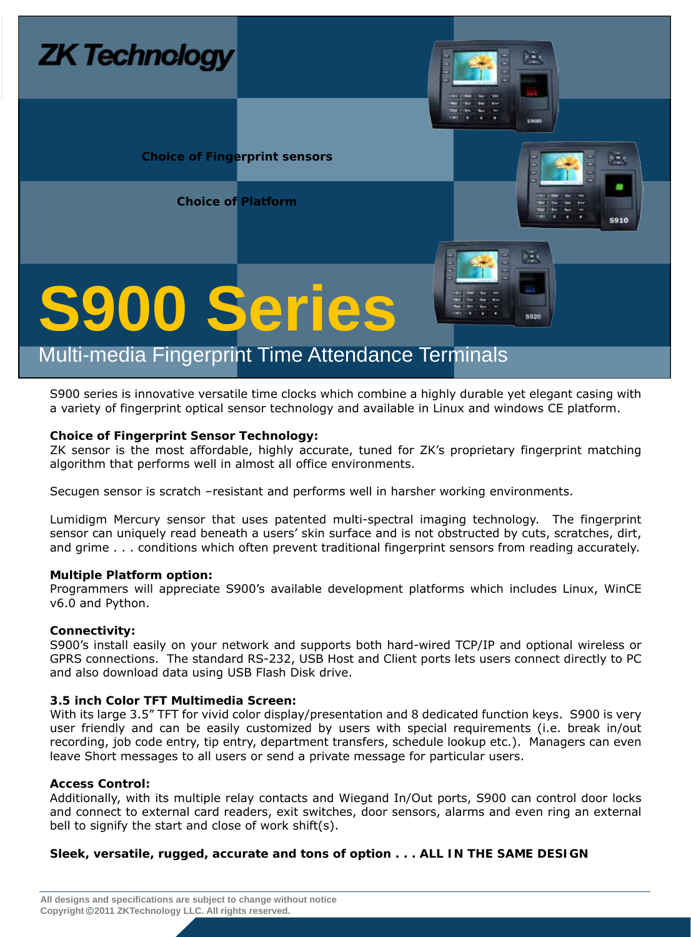

S900 series is innovative versatile time clocks which combine a highly durable yet elegant casing with a variety of fingerprint optical sensor technology and available in Linux and windows CE platform.

#### **Choice of Fingerprint Sensor Technology:**

ZK sensor is the most affordable, highly accurate, tuned for ZK's proprietary fingerprint matching algorithm that performs well in almost all office environments.

Secugen sensor is scratch –resistant and performs well in harsher working environments.

Lumidigm Mercury sensor that uses patented multi-spectral imaging technology. The fingerprint sensor can uniquely read beneath a users' skin surface and is not obstructed by cuts, scratches, dirt, and grime . . . conditions which often prevent traditional fingerprint sensors from reading accurately.

#### **Multiple Platform option:**

Programmers will appreciate S900's available development platforms which includes Linux, WinCE v6.0 and Python.

#### **Connectivity:**

S900's install easily on your network and supports both hard-wired TCP/IP and optional wireless or GPRS connections. The standard RS-232, USB Host and Client ports lets users connect directly to PC and also download data using USB Flash Disk drive.

#### **3.5 inch Color TFT Multimedia Screen:**

With its large 3.5" TFT for vivid color display/presentation and 8 dedicated function keys. S900 is very user friendly and can be easily customized by users with special requirements (i.e. break in/out recording, job code entry, tip entry, department transfers, schedule lookup etc.). Managers can even leave Short messages to all users or send a private message for particular users.

#### **Access Control:**

Additionally, with its multiple relay contacts and Wiegand In/Out ports, S900 can control door locks and connect to external card readers, exit switches, door sensors, alarms and even ring an external bell to signify the start and close of work shift(s).

#### **Sleek, versatile, rugged, accurate and tons of option . . . ALL IN THE SAME DESIGN**